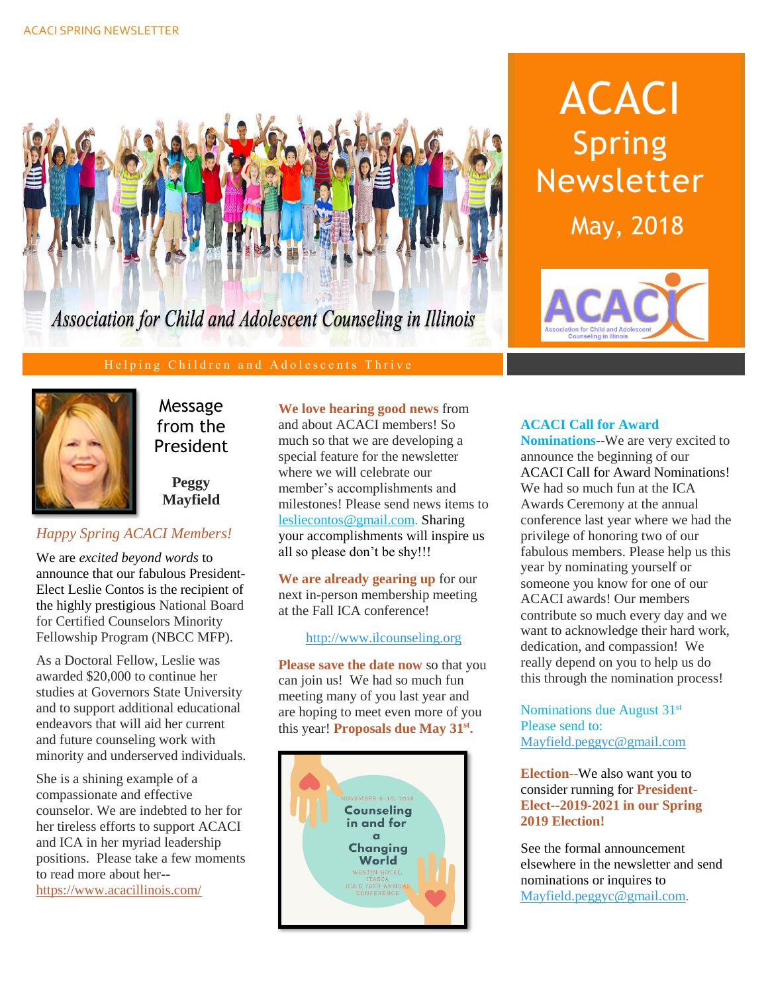

### Helping Children and Adolescents Thrive



Message from the President

**Peggy Mayfield**

# *Happy Spring ACACI Members!*

We are *excited beyond words* to announce that our fabulous President-Elect Leslie Contos is the recipient of the highly prestigious National Board for Certified Counselors Minority Fellowship Program (NBCC MFP).

As a Doctoral Fellow, Leslie was awarded \$20,000 to continue her studies at Governors State University and to support additional educational endeavors that will aid her current and future counseling work with minority and underserved individuals.

She is a shining example of a compassionate and effective counselor. We are indebted to her for her tireless efforts to support ACACI and ICA in her myriad leadership positions. Please take a few moments to read more about her- <https://www.acacillinois.com/>

**We love hearing good news** from and about ACACI members! So much so that we are developing a special feature for the newsletter where we will celebrate our member's accomplishments and milestones! Please send news items to [lesliecontos@gmail.com.](mailto:lesliecontos@gmail.com) Sharing your accomplishments will inspire us all so please don't be shy!!!

**We are already gearing up** for our next in-person membership meeting at the Fall ICA conference!

[http://www.ilcounseling.org](http://www.ilcounseling.org/)

**Please save the date now** so that you can join us! We had so much fun meeting many of you last year and are hoping to meet even more of you this year! **Proposals due May 31st .**



# ACACI Spring Newsletter May, 2018



## **ACACI Call for Award**

**Nominations**--We are very excited to announce the beginning of our ACACI Call for Award Nominations! We had so much fun at the ICA Awards Ceremony at the annual conference last year where we had the privilege of honoring two of our fabulous members. Please help us this year by nominating yourself or someone you know for one of our ACACI awards! Our members contribute so much every day and we want to acknowledge their hard work, dedication, and compassion! We really depend on you to help us do this through the nomination process!

Nominations due August 31st Please send to: [Mayfield.peggyc@gmail.com](mailto:Mayfield.peggyc@gmail.com)

**Election--**We also want you to consider running for **President-Elect--2019-2021 in our Spring 2019 Election!**

See the formal announcement elsewhere in the newsletter and send nominations or inquires to [Mayfield.peggyc@gmail.com.](file:///C:/Users/Leslie/Documents/Mayfield.peggyc@gmail.com)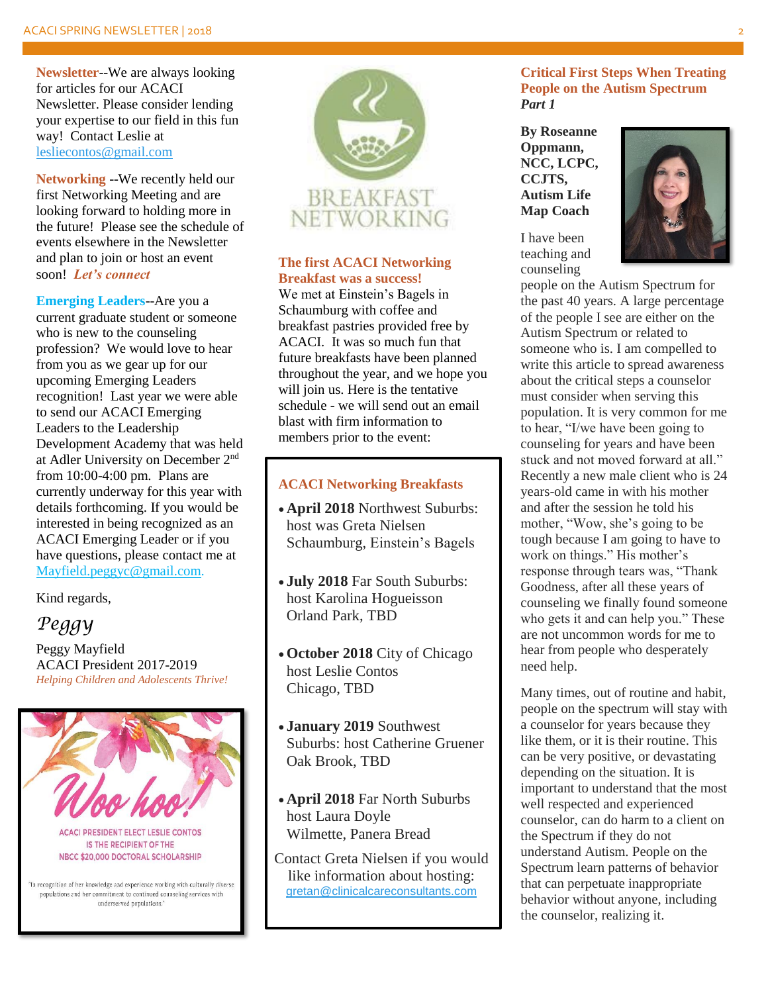**Newsletter**--We are always looking for articles for our ACACI Newsletter. Please consider lending your expertise to our field in this fun way! Contact Leslie at [lesliecontos@gmail.com](mailto:lesliecontos@gmail.com)

**Networking** --We recently held our first Networking Meeting and are looking forward to holding more in the future! Please see the schedule of events elsewhere in the Newsletter and plan to join or host an event soon! *Let's connect*

**Emerging Leaders**--Are you a current graduate student or someone who is new to the counseling profession? We would love to hear from you as we gear up for our upcoming Emerging Leaders recognition! Last year we were able to send our ACACI Emerging Leaders to the Leadership Development Academy that was held at Adler University on December 2nd from 10:00-4:00 pm. Plans are currently underway for this year with details forthcoming. If you would be interested in being recognized as an ACACI Emerging Leader or if you have questions, please contact me at [Mayfield.peggyc@gmail.com.](mailto:Mayfield.peggyc@gmail.com)

Kind regards,

# *Peggy*

Peggy Mayfield ACACI President 2017-2019 *Helping Children and Adolescents Thrive!*



populations and her commitment to continued counseling services with underserved populations.'



### **The first ACACI Networking Breakfast was a success!**

We met at Einstein's Bagels in Schaumburg with coffee and breakfast pastries provided free by ACACI. It was so much fun that future breakfasts have been planned throughout the year, and we hope you will join us. Here is the tentative schedule - we will send out an email blast with firm information to members prior to the event:

### **ACACI Networking Breakfasts**

- **April 2018** Northwest Suburbs: host was Greta Nielsen Schaumburg, Einstein's Bagels
- **July 2018** Far South Suburbs: host Karolina Hogueisson Orland Park, TBD
- **October 2018** City of Chicago host Leslie Contos Chicago, TBD
- **January 2019** Southwest Suburbs: host Catherine Gruener Oak Brook, TBD
- **April 2018** Far North Suburbs host Laura Doyle Wilmette, Panera Bread

Contact Greta Nielsen if you would like information about hosting: [gretan@clinicalcareconsultants.com](mailto:gretan@clinicalcareconsultants.com)

### **Critical First Steps When Treating People on the Autism Spectrum** *Part 1*

**By Roseanne Oppmann, NCC, LCPC, CCJTS, Autism Life Map Coach**

I have been teaching and counseling



people on the Autism Spectrum for the past 40 years. A large percentage of the people I see are either on the Autism Spectrum or related to someone who is. I am compelled to write this article to spread awareness about the critical steps a counselor must consider when serving this population. It is very common for me to hear, "I/we have been going to counseling for years and have been stuck and not moved forward at all." Recently a new male client who is 24 years-old came in with his mother and after the session he told his mother, "Wow, she's going to be tough because I am going to have to work on things." His mother's response through tears was, "Thank Goodness, after all these years of counseling we finally found someone who gets it and can help you." These are not uncommon words for me to hear from people who desperately need help.

Many times, out of routine and habit, people on the spectrum will stay with a counselor for years because they like them, or it is their routine. This can be very positive, or devastating depending on the situation. It is important to understand that the most well respected and experienced counselor, can do harm to a client on the Spectrum if they do not understand Autism. People on the Spectrum learn patterns of behavior that can perpetuate inappropriate behavior without anyone, including the counselor, realizing it.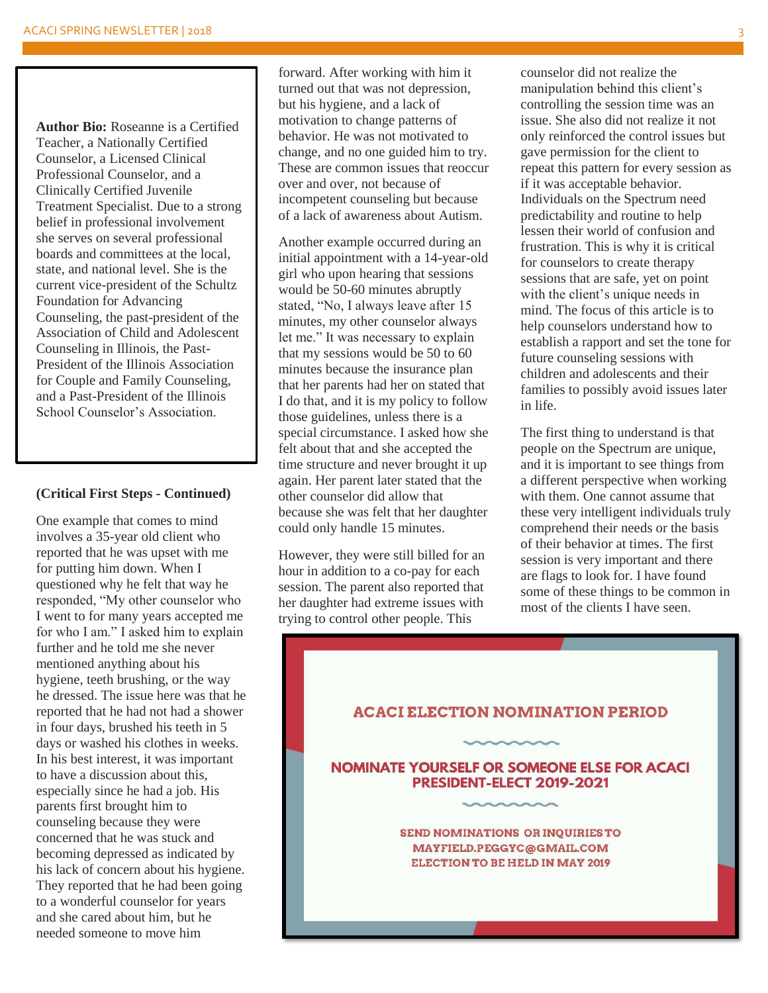**Author Bio:** Roseanne is a Certified Teacher, a Nationally Certified Counselor, a Licensed Clinical Professional Counselor, and a Clinically Certified Juvenile Treatment Specialist. Due to a strong belief in professional involvement she serves on several professional boards and committees at the local, state, and national level. She is the current vice-president of the Schultz Foundation for Advancing Counseling, the past-president of the Association of Child and Adolescent Counseling in Illinois, the Past-President of the Illinois Association for Couple and Family Counseling, and a Past-President of the Illinois School Counselor's Association.

#### **(Critical First Steps - Continued)**

One example that comes to mind involves a 35-year old client who reported that he was upset with me for putting him down. When I questioned why he felt that way he responded, "My other counselor who I went to for many years accepted me for who I am." I asked him to explain further and he told me she never mentioned anything about his hygiene, teeth brushing, or the way he dressed. The issue here was that he reported that he had not had a shower in four days, brushed his teeth in 5 days or washed his clothes in weeks. In his best interest, it was important to have a discussion about this, especially since he had a job. His parents first brought him to counseling because they were concerned that he was stuck and becoming depressed as indicated by his lack of concern about his hygiene. They reported that he had been going to a wonderful counselor for years and she cared about him, but he needed someone to move him

forward. After working with him it turned out that was not depression, but his hygiene, and a lack of motivation to change patterns of behavior. He was not motivated to change, and no one guided him to try. These are common issues that reoccur over and over, not because of incompetent counseling but because of a lack of awareness about Autism.

Another example occurred during an initial appointment with a 14-year-old girl who upon hearing that sessions would be 50-60 minutes abruptly stated, "No, I always leave after 15 minutes, my other counselor always let me." It was necessary to explain that my sessions would be 50 to 60 minutes because the insurance plan that her parents had her on stated that I do that, and it is my policy to follow those guidelines, unless there is a special circumstance. I asked how she felt about that and she accepted the time structure and never brought it up again. Her parent later stated that the other counselor did allow that because she was felt that her daughter could only handle 15 minutes.

However, they were still billed for an hour in addition to a co-pay for each session. The parent also reported that her daughter had extreme issues with trying to control other people. This

counselor did not realize the manipulation behind this client's controlling the session time was an issue. She also did not realize it not only reinforced the control issues but gave permission for the client to repeat this pattern for every session as if it was acceptable behavior. Individuals on the Spectrum need predictability and routine to help lessen their world of confusion and frustration. This is why it is critical for counselors to create therapy sessions that are safe, yet on point with the client's unique needs in mind. The focus of this article is to help counselors understand how to establish a rapport and set the tone for future counseling sessions with children and adolescents and their families to possibly avoid issues later in life.

The first thing to understand is that people on the Spectrum are unique, and it is important to see things from a different perspective when working with them. One cannot assume that these very intelligent individuals truly comprehend their needs or the basis of their behavior at times. The first session is very important and there are flags to look for. I have found some of these things to be common in most of the clients I have seen.

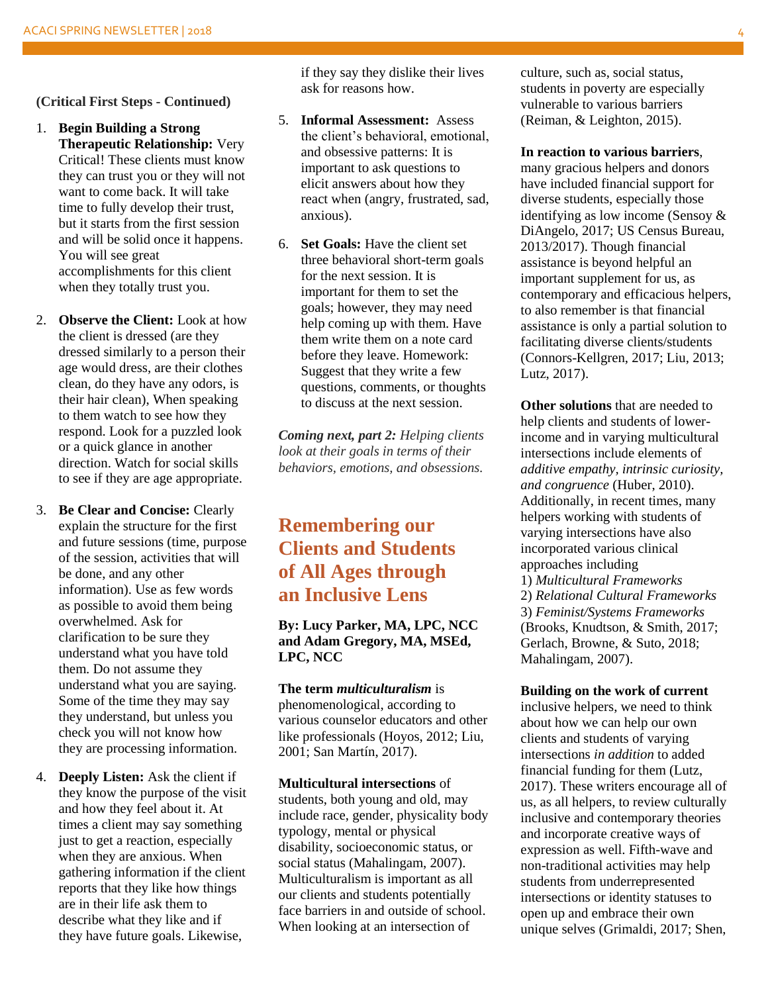**(Critical First Steps - Continued)**

- 1. **Begin Building a Strong Therapeutic Relationship:** Very Critical! These clients must know they can trust you or they will not want to come back. It will take time to fully develop their trust, but it starts from the first session and will be solid once it happens. You will see great accomplishments for this client when they totally trust you.
- 2. **Observe the Client:** Look at how the client is dressed (are they dressed similarly to a person their age would dress, are their clothes clean, do they have any odors, is their hair clean), When speaking to them watch to see how they respond. Look for a puzzled look or a quick glance in another direction. Watch for social skills to see if they are age appropriate.
- 3. **Be Clear and Concise:** Clearly explain the structure for the first and future sessions (time, purpose of the session, activities that will be done, and any other information). Use as few words as possible to avoid them being overwhelmed. Ask for clarification to be sure they understand what you have told them. Do not assume they understand what you are saying. Some of the time they may say they understand, but unless you check you will not know how they are processing information.
- 4. **Deeply Listen:** Ask the client if they know the purpose of the visit and how they feel about it. At times a client may say something just to get a reaction, especially when they are anxious. When gathering information if the client reports that they like how things are in their life ask them to describe what they like and if they have future goals. Likewise,

if they say they dislike their lives ask for reasons how.

- 5. **Informal Assessment:** Assess the client's behavioral, emotional, and obsessive patterns: It is important to ask questions to elicit answers about how they react when (angry, frustrated, sad, anxious).
- 6. **Set Goals:** Have the client set three behavioral short-term goals for the next session. It is important for them to set the goals; however, they may need help coming up with them. Have them write them on a note card before they leave. Homework: Suggest that they write a few questions, comments, or thoughts to discuss at the next session.

*Coming next, part 2: Helping clients look at their goals in terms of their behaviors, emotions, and obsessions.*

# **Remembering our Clients and Students of All Ages through an Inclusive Lens**

**By: Lucy Parker, MA, LPC, NCC and Adam Gregory, MA, MSEd, LPC, NCC**

**The term** *multiculturalism* is phenomenological, according to various counselor educators and other like professionals (Hoyos, 2012; Liu, 2001; San Martín, 2017).

**Multicultural intersections** of students, both young and old, may include race, gender, physicality body typology, mental or physical disability, socioeconomic status, or social status (Mahalingam, 2007). Multiculturalism is important as all our clients and students potentially face barriers in and outside of school. When looking at an intersection of

culture, such as, social status, students in poverty are especially vulnerable to various barriers (Reiman, & Leighton, 2015).

**In reaction to various barriers**, many gracious helpers and donors have included financial support for diverse students, especially those identifying as low income (Sensoy & DiAngelo, 2017; US Census Bureau, 2013/2017). Though financial assistance is beyond helpful an important supplement for us, as contemporary and efficacious helpers, to also remember is that financial assistance is only a partial solution to facilitating diverse clients/students (Connors-Kellgren, 2017; Liu, 2013; Lutz, 2017).

**Other solutions** that are needed to help clients and students of lowerincome and in varying multicultural intersections include elements of *additive empathy, intrinsic curiosity, and congruence* (Huber, 2010). Additionally, in recent times, many helpers working with students of varying intersections have also incorporated various clinical approaches including 1) *Multicultural Frameworks* 2) *Relational Cultural Frameworks* 3) *Feminist/Systems Frameworks* (Brooks, Knudtson, & Smith, 2017; Gerlach, Browne, & Suto, 2018; Mahalingam, 2007).

**Building on the work of current** 

inclusive helpers, we need to think about how we can help our own clients and students of varying intersections *in addition* to added financial funding for them (Lutz, 2017). These writers encourage all of us, as all helpers, to review culturally inclusive and contemporary theories and incorporate creative ways of expression as well. Fifth-wave and non-traditional activities may help students from underrepresented intersections or identity statuses to open up and embrace their own unique selves (Grimaldi, 2017; Shen,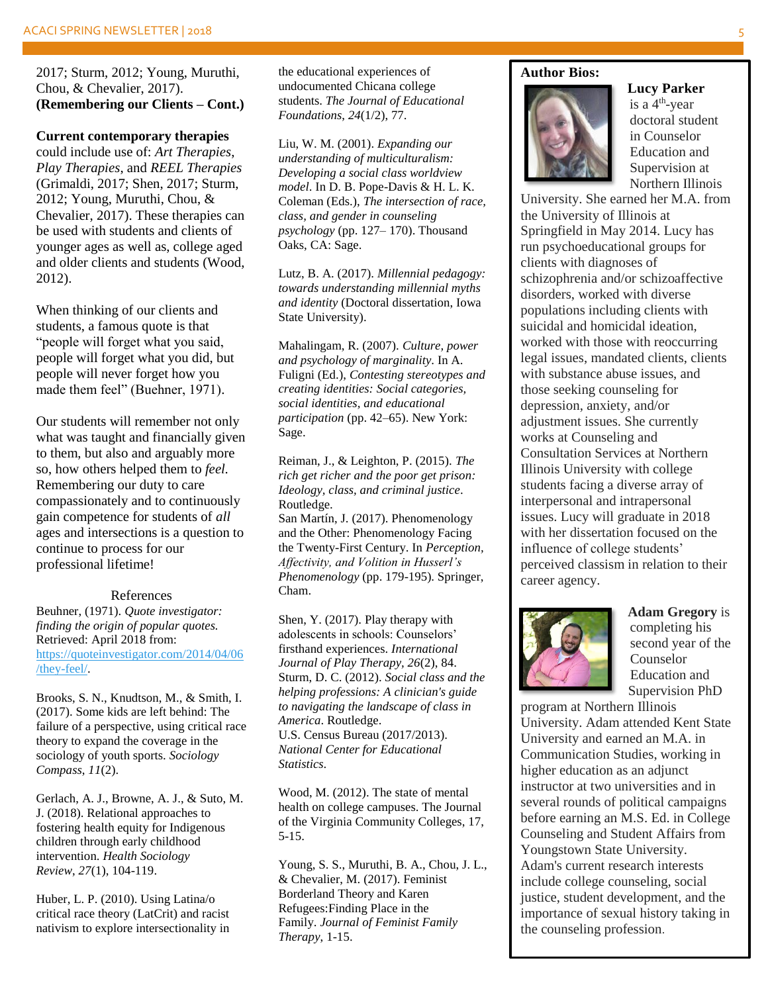2017; Sturm, 2012; Young, Muruthi, Chou, & Chevalier, 2017). **(Remembering our Clients – Cont.)**

### **Current contemporary therapies**

could include use of: *Art Therapies*, *Play Therapies*, and *REEL Therapies* (Grimaldi, 2017; Shen, 2017; Sturm, 2012; Young, Muruthi, Chou, & Chevalier, 2017). These therapies can be used with students and clients of younger ages as well as, college aged and older clients and students (Wood, 2012).

When thinking of our clients and students, a famous quote is that "people will forget what you said, people will forget what you did, but people will never forget how you made them feel" (Buehner, 1971).

Our students will remember not only what was taught and financially given to them, but also and arguably more so, how others helped them to *feel.*  Remembering our duty to care compassionately and to continuously gain competence for students of *all* ages and intersections is a question to continue to process for our professional lifetime!

### References

Beuhner, (1971). *Quote investigator: finding the origin of popular quotes.*  Retrieved: April 2018 from: [https://quoteinvestigator.com/2014/04/06](https://quoteinvestigator.com/2014/04/06/they-feel/) [/they-feel/.](https://quoteinvestigator.com/2014/04/06/they-feel/)

Brooks, S. N., Knudtson, M., & Smith, I. (2017). Some kids are left behind: The failure of a perspective, using critical race theory to expand the coverage in the sociology of youth sports. *Sociology Compass*, *11*(2).

Gerlach, A. J., Browne, A. J., & Suto, M. J. (2018). Relational approaches to fostering health equity for Indigenous children through early childhood intervention. *Health Sociology Review*, *27*(1), 104-119.

Huber, L. P. (2010). Using Latina/o critical race theory (LatCrit) and racist nativism to explore intersectionality in

the educational experiences of undocumented Chicana college students. *The Journal of Educational Foundations*, *24*(1/2), 77.

Liu, W. M. (2001). *Expanding our understanding of multiculturalism: Developing a social class worldview model*. In D. B. Pope-Davis & H. L. K. Coleman (Eds.), *The intersection of race, class, and gender in counseling psychology* (pp. 127– 170). Thousand Oaks, CA: Sage.

Lutz, B. A. (2017). *Millennial pedagogy: towards understanding millennial myths and identity* (Doctoral dissertation, Iowa State University).

Mahalingam, R. (2007). *Culture, power and psychology of marginality*. In A. Fuligni (Ed.), *Contesting stereotypes and creating identities: Social categories, social identities, and educational participation* (pp. 42–65). New York: Sage.

Reiman, J., & Leighton, P. (2015). *The rich get richer and the poor get prison: Ideology, class, and criminal justice*. Routledge. San Martín, J. (2017). Phenomenology

and the Other: Phenomenology Facing the Twenty-First Century. In *Perception, Affectivity, and Volition in Husserl's Phenomenology* (pp. 179-195). Springer, Cham.

Shen, Y. (2017). Play therapy with adolescents in schools: Counselors' firsthand experiences. *International Journal of Play Therapy, 26*(2), 84. Sturm, D. C. (2012). *Social class and the helping professions: A clinician's guide to navigating the landscape of class in America*. Routledge. U.S. Census Bureau (2017/2013). *National Center for Educational Statistics*.

Wood, M. (2012). The state of mental health on college campuses. The Journal of the Virginia Community Colleges, 17, 5-15.

Young, S. S., Muruthi, B. A., Chou, J. L., & Chevalier, M. (2017). Feminist Borderland Theory and Karen Refugees:Finding Place in the Family. *Journal of Feminist Family Therapy*, 1-15.

#### **Author Bios:**



**Lucy Parker** is a 4th -year doctoral student in Counselor Education and Supervision at Northern Illinois

University. She earned her M.A. from the University of Illinois at Springfield in May 2014. Lucy has run psychoeducational groups for clients with diagnoses of schizophrenia and/or schizoaffective disorders, worked with diverse populations including clients with suicidal and homicidal ideation, worked with those with reoccurring legal issues, mandated clients, clients with substance abuse issues, and those seeking counseling for depression, anxiety, and/or adjustment issues. She currently works at Counseling and Consultation Services at Northern Illinois University with college students facing a diverse array of interpersonal and intrapersonal issues. Lucy will graduate in 2018 with her dissertation focused on the influence of college students' perceived classism in relation to their career agency.



**Adam Gregory** is completing his second year of the Counselor Education and Supervision PhD

program at Northern Illinois University. Adam attended Kent State University and earned an M.A. in Communication Studies, working in higher education as an adjunct instructor at two universities and in several rounds of political campaigns before earning an M.S. Ed. in College Counseling and Student Affairs from Youngstown State University. Adam's current research interests include college counseling, social justice, student development, and the importance of sexual history taking in the counseling profession.